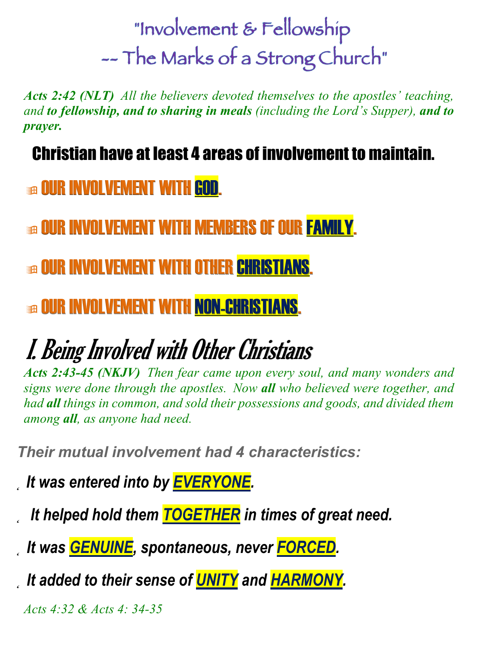"Involvement & Fellowship -- The Marks of a Strong Church"

*Acts 2:42 (NLT) All the believers devoted themselves to the apostles' teaching, and to fellowship, and to sharing in meals (including the Lord's Supper), and to prayer.*

Christian have at least 4 areas of involvement to maintain.

**GE OUR INVOLVEMENT WITH GOD.** 

**BE OUR INVOLVEMENT WITH MEMBERS OF OUR FAMILY.** 

**In OUR INVOLVEMENT WITH OTHER CHRISTIANS.** 

**<b>BE OUR INVOLVEMENT WITH NON-CHRISTIANS.** 

# I. Being Involved with Other Christians

*Acts 2:43-45 (NKJV) Then fear came upon every soul, and many wonders and signs were done through the apostles. Now all who believed were together, and had all things in common, and sold their possessions and goods, and divided them among all, as anyone had need.* 

*Their mutual involvement had 4 characteristics:*

*˛ It was entered into by EVERYONE.*

*˛ It helped hold them TOGETHER in times of great need.*

*˛ It was GENUINE, spontaneous, never FORCED.* 

*˛ It added to their sense of UNITY and HARMONY.*

*Acts 4:32 & Acts 4: 34-35*